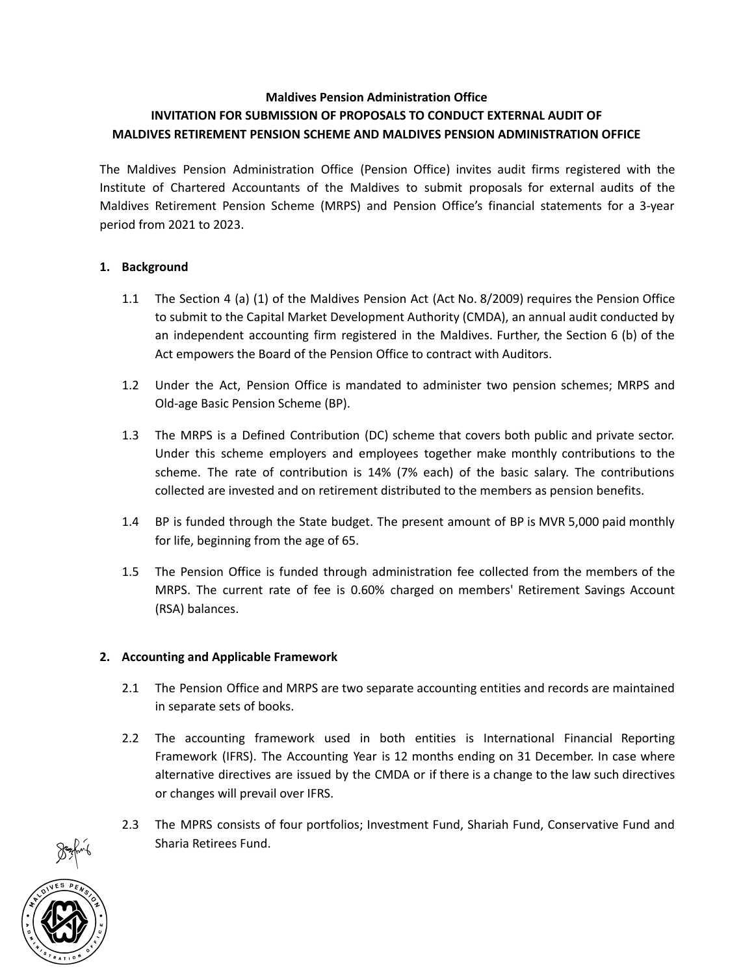# Maldives Pension Administration Office INVITATION FOR SUBMISSION OF PROPOSALS TO CONDUCT EXTERNAL AUDIT OF MALDIVES RETIREMENT PENSION SCHEME AND MALDIVES PENSION ADMINISTRATION OFFICE

The Maldives Pension Administration Office (Pension Office) invites audit firms registered with the Institute of Chartered Accountants of the Maldives to submit proposals for external audits of the Maldives Retirement Pension Scheme (MRPS) and Pension Office's financial statements for a 3-year period from 2021 to 2023.

### 1. Background

- 1.1 The Section 4 (a) (1) of the Maldives Pension Act (Act No. 8/2009) requires the Pension Office to submit to the Capital Market Development Authority (CMDA), an annual audit conducted by an independent accounting firm registered in the Maldives. Further, the Section 6 (b) of the Act empowers the Board of the Pension Office to contract with Auditors.
- 1.2 Under the Act, Pension Office is mandated to administer two pension schemes; MRPS and Old-age Basic Pension Scheme (BP).
- 1.3 The MRPS is a Defined Contribution (DC) scheme that covers both public and private sector. Under this scheme employers and employees together make monthly contributions to the scheme. The rate of contribution is 14% (7% each) of the basic salary. The contributions collected are invested and on retirement distributed to the members as pension benefits.
- 1.4 BP is funded through the State budget. The present amount of BP is MVR 5,000 paid monthly for life, beginning from the age of 65.
- 1.5 The Pension Office is funded through administration fee collected from the members of the MRPS. The current rate of fee is 0.60% charged on members' Retirement Savings Account (RSA) balances.

### 2. Accounting and Applicable Framework

- 2.1 The Pension Office and MRPS are two separate accounting entities and records are maintained in separate sets of books.
- 2.2 The accounting framework used in both entities is International Financial Reporting Framework (IFRS). The Accounting Year is 12 months ending on 31 December. In case where alternative directives are issued by the CMDA or if there is a change to the law such directives or changes will prevail over IFRS.
- 2.3 The MPRS consists of four portfolios; Investment Fund, Shariah Fund, Conservative Fund and Sharia Retirees Fund.

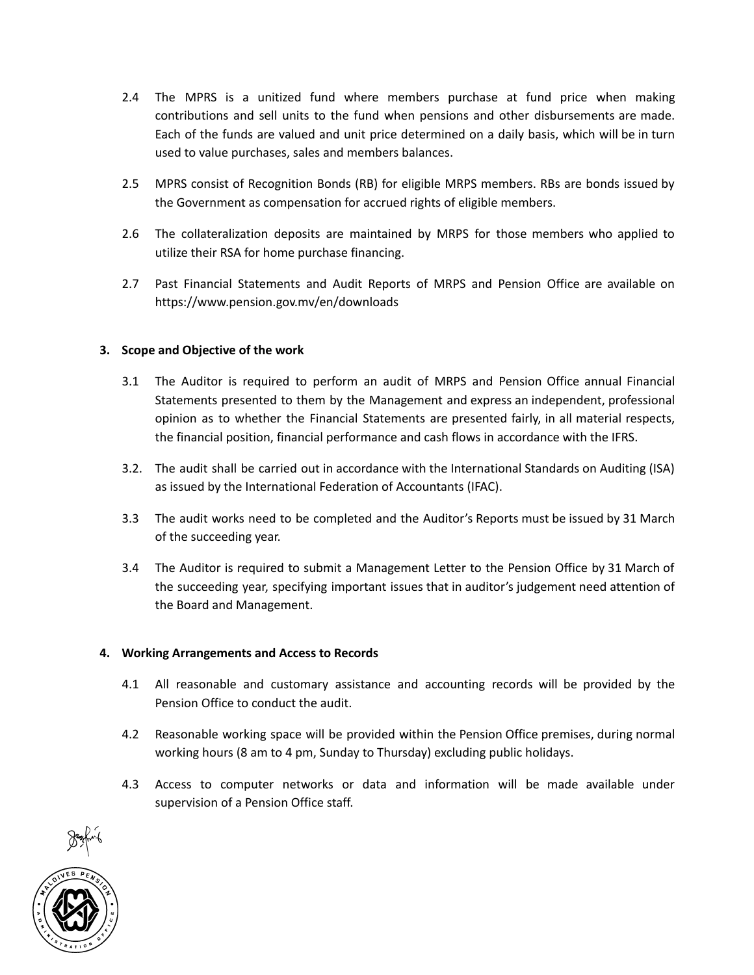- 2.4 The MPRS is a unitized fund where members purchase at fund price when making contributions and sell units to the fund when pensions and other disbursements are made. Each of the funds are valued and unit price determined on a daily basis, which will be in turn used to value purchases, sales and members balances.
- 2.5 MPRS consist of Recognition Bonds (RB) for eligible MRPS members. RBs are bonds issued by the Government as compensation for accrued rights of eligible members.
- 2.6 The collateralization deposits are maintained by MRPS for those members who applied to utilize their RSA for home purchase financing.
- 2.7 Past Financial Statements and Audit Reports of MRPS and Pension Office are available on https://www.pension.gov.mv/en/downloads

### 3. Scope and Objective of the work

- 3.1 The Auditor is required to perform an audit of MRPS and Pension Office annual Financial Statements presented to them by the Management and express an independent, professional opinion as to whether the Financial Statements are presented fairly, in all material respects, the financial position, financial performance and cash flows in accordance with the IFRS.
- 3.2. The audit shall be carried out in accordance with the International Standards on Auditing (ISA) as issued by the International Federation of Accountants (IFAC).
- 3.3 The audit works need to be completed and the Auditor's Reports must be issued by 31 March of the succeeding year.
- 3.4 The Auditor is required to submit a Management Letter to the Pension Office by 31 March of the succeeding year, specifying important issues that in auditor's judgement need attention of the Board and Management.

#### 4. Working Arrangements and Access to Records

- 4.1 All reasonable and customary assistance and accounting records will be provided by the Pension Office to conduct the audit.
- 4.2 Reasonable working space will be provided within the Pension Office premises, during normal working hours (8 am to 4 pm, Sunday to Thursday) excluding public holidays.
- 4.3 Access to computer networks or data and information will be made available under supervision of a Pension Office staff.

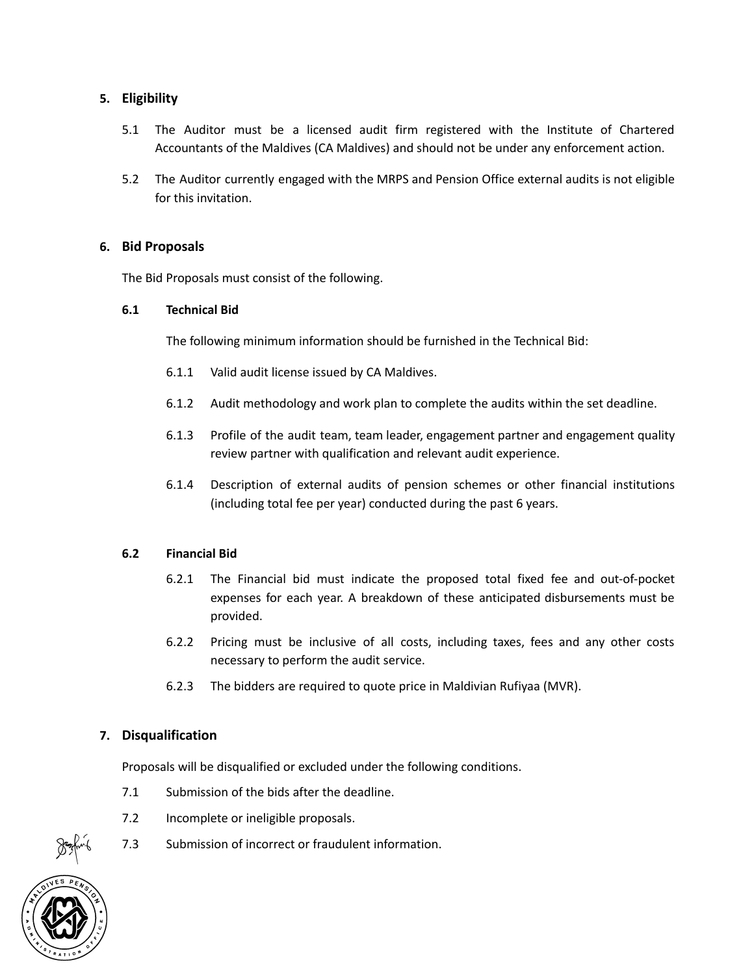### 5. Eligibility

- 5.1 The Auditor must be a licensed audit firm registered with the Institute of Chartered Accountants of the Maldives (CA Maldives) and should not be under any enforcement action.
- 5.2 The Auditor currently engaged with the MRPS and Pension Office external audits is not eligible for this invitation.

#### 6. Bid Proposals

The Bid Proposals must consist of the following.

#### 6.1 Technical Bid

The following minimum information should be furnished in the Technical Bid:

- 6.1.1 Valid audit license issued by CA Maldives.
- 6.1.2 Audit methodology and work plan to complete the audits within the set deadline.
- 6.1.3 Profile of the audit team, team leader, engagement partner and engagement quality review partner with qualification and relevant audit experience.
- 6.1.4 Description of external audits of pension schemes or other financial institutions (including total fee per year) conducted during the past 6 years.

#### 6.2 Financial Bid

- 6.2.1 The Financial bid must indicate the proposed total fixed fee and out-of-pocket expenses for each year. A breakdown of these anticipated disbursements must be provided.
- 6.2.2 Pricing must be inclusive of all costs, including taxes, fees and any other costs necessary to perform the audit service.
- 6.2.3 The bidders are required to quote price in Maldivian Rufiyaa (MVR).

### 7. Disqualification

Proposals will be disqualified or excluded under the following conditions.

- 7.1 Submission of the bids after the deadline.
- 7.2 Incomplete or ineligible proposals.
- 7.3 Submission of incorrect or fraudulent information.

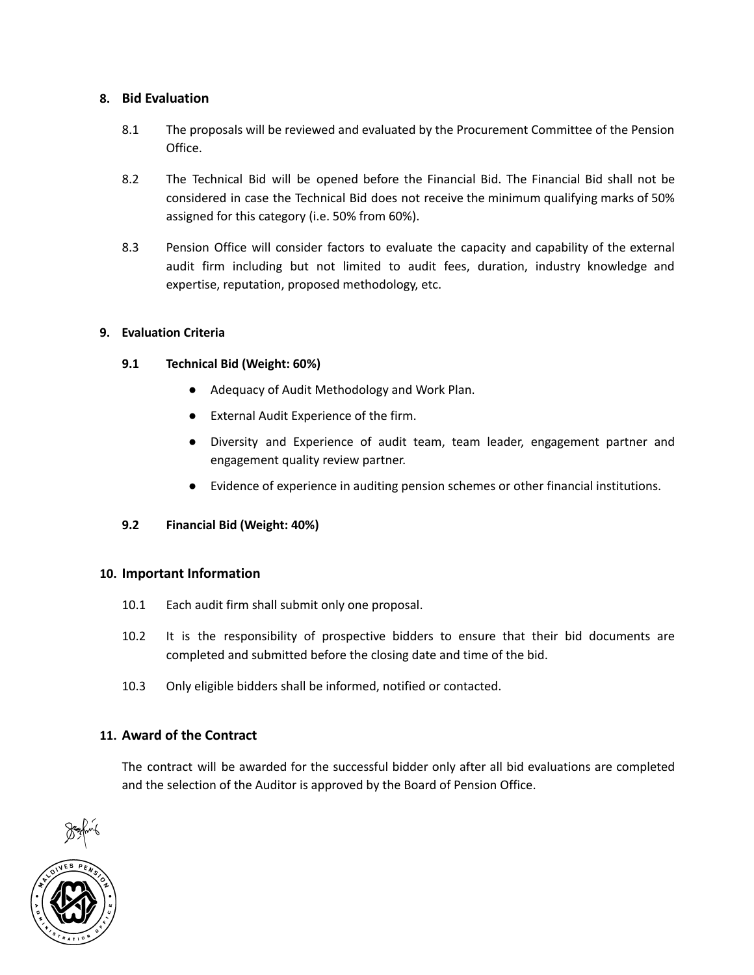## 8. Bid Evaluation

- 8.1 The proposals will be reviewed and evaluated by the Procurement Committee of the Pension Office.
- 8.2 The Technical Bid will be opened before the Financial Bid. The Financial Bid shall not be considered in case the Technical Bid does not receive the minimum qualifying marks of 50% assigned for this category (i.e. 50% from 60%).
- 8.3 Pension Office will consider factors to evaluate the capacity and capability of the external audit firm including but not limited to audit fees, duration, industry knowledge and expertise, reputation, proposed methodology, etc.

### 9. Evaluation Criteria

### 9.1 Technical Bid (Weight: 60%)

- Adequacy of Audit Methodology and Work Plan.
- External Audit Experience of the firm.
- Diversity and Experience of audit team, team leader, engagement partner and engagement quality review partner.
- Evidence of experience in auditing pension schemes or other financial institutions.

### 9.2 Financial Bid (Weight: 40%)

#### 10. Important Information

- 10.1 Each audit firm shall submit only one proposal.
- 10.2 It is the responsibility of prospective bidders to ensure that their bid documents are completed and submitted before the closing date and time of the bid.
- 10.3 Only eligible bidders shall be informed, notified or contacted.

### 11. Award of the Contract

The contract will be awarded for the successful bidder only after all bid evaluations are completed and the selection of the Auditor is approved by the Board of Pension Office.